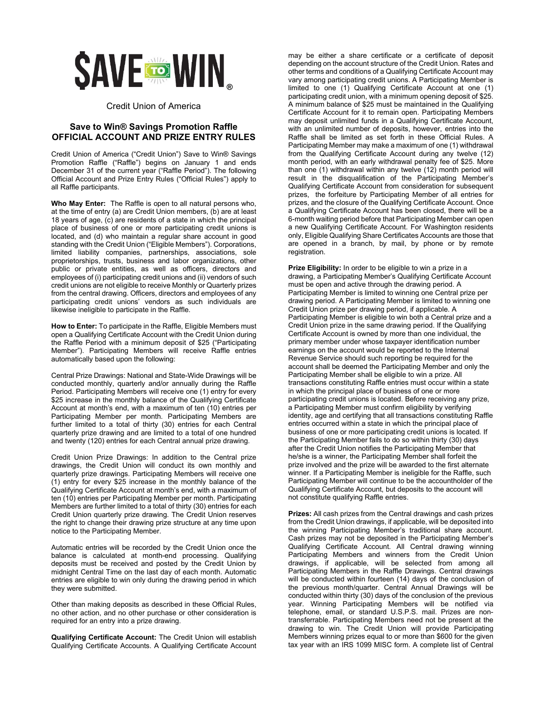

## Credit Union of America

## **Save to Win® Savings Promotion Raffle OFFICIAL ACCOUNT AND PRIZE ENTRY RULES**

Credit Union of America ("Credit Union") Save to Win® Savings Promotion Raffle ("Raffle") begins on January 1 and ends December 31 of the current year ("Raffle Period"). The following Official Account and Prize Entry Rules ("Official Rules") apply to all Raffle participants.

**Who May Enter:** The Raffle is open to all natural persons who, at the time of entry (a) are Credit Union members, (b) are at least 18 years of age, (c) are residents of a state in which the principal place of business of one or more participating credit unions is located, and (d) who maintain a regular share account in good standing with the Credit Union ("Eligible Members"). Corporations, limited liability companies, partnerships, associations, sole proprietorships, trusts, business and labor organizations, other public or private entities, as well as officers, directors and employees of (i) participating credit unions and (ii) vendors of such credit unions are not eligible to receive Monthly or Quarterly prizes from the central drawing. Officers, directors and employees of any participating credit unions' vendors as such individuals are likewise ineligible to participate in the Raffle.

**How to Enter:** To participate in the Raffle, Eligible Members must open a Qualifying Certificate Account with the Credit Union during the Raffle Period with a minimum deposit of \$25 ("Participating Member"). Participating Members will receive Raffle entries automatically based upon the following:

Central Prize Drawings: National and State-Wide Drawings will be conducted monthly, quarterly and/or annually during the Raffle Period. Participating Members will receive one (1) entry for every \$25 increase in the monthly balance of the Qualifying Certificate Account at month's end, with a maximum of ten (10) entries per Participating Member per month. Participating Members are further limited to a total of thirty (30) entries for each Central quarterly prize drawing and are limited to a total of one hundred and twenty (120) entries for each Central annual prize drawing.

Credit Union Prize Drawings: In addition to the Central prize drawings, the Credit Union will conduct its own monthly and quarterly prize drawings. Participating Members will receive one (1) entry for every \$25 increase in the monthly balance of the Qualifying Certificate Account at month's end, with a maximum of ten (10) entries per Participating Member per month. Participating Members are further limited to a total of thirty (30) entries for each Credit Union quarterly prize drawing. The Credit Union reserves the right to change their drawing prize structure at any time upon notice to the Participating Member.

Automatic entries will be recorded by the Credit Union once the balance is calculated at month-end processing. Qualifying deposits must be received and posted by the Credit Union by midnight Central Time on the last day of each month. Automatic entries are eligible to win only during the drawing period in which they were submitted.

Other than making deposits as described in these Official Rules, no other action, and no other purchase or other consideration is required for an entry into a prize drawing.

**Qualifying Certificate Account:** The Credit Union will establish Qualifying Certificate Accounts. A Qualifying Certificate Account

may be either a share certificate or a certificate of deposit depending on the account structure of the Credit Union. Rates and other terms and conditions of a Qualifying Certificate Account may vary among participating credit unions. A Participating Member is limited to one (1) Qualifying Certificate Account at one (1) participating credit union, with a minimum opening deposit of \$25. A minimum balance of \$25 must be maintained in the Qualifying Certificate Account for it to remain open. Participating Members may deposit unlimited funds in a Qualifying Certificate Account, with an unlimited number of deposits, however, entries into the Raffle shall be limited as set forth in these Official Rules. A Participating Member may make a maximum of one (1) withdrawal from the Qualifying Certificate Account during any twelve (12) month period, with an early withdrawal penalty fee of \$25. More than one (1) withdrawal within any twelve (12) month period will result in the disqualification of the Participating Member's Qualifying Certificate Account from consideration for subsequent prizes, the forfeiture by Participating Member of all entries for prizes, and the closure of the Qualifying Certificate Account. Once a Qualifying Certificate Account has been closed, there will be a 6-month waiting period before that Participating Member can open a new Qualifying Certificate Account. For Washington residents only, Eligible Qualifying Share Certificates Accounts are those that are opened in a branch, by mail, by phone or by remote registration.

**Prize Eligibility:** In order to be eligible to win a prize in a drawing, a Participating Member's Qualifying Certificate Account must be open and active through the drawing period. A Participating Member is limited to winning one Central prize per drawing period. A Participating Member is limited to winning one Credit Union prize per drawing period, if applicable. A Participating Member is eligible to win both a Central prize and a Credit Union prize in the same drawing period. If the Qualifying Certificate Account is owned by more than one individual, the primary member under whose taxpayer identification number earnings on the account would be reported to the Internal Revenue Service should such reporting be required for the account shall be deemed the Participating Member and only the Participating Member shall be eligible to win a prize. All transactions constituting Raffle entries must occur within a state in which the principal place of business of one or more participating credit unions is located. Before receiving any prize, a Participating Member must confirm eligibility by verifying identity, age and certifying that all transactions constituting Raffle entries occurred within a state in which the principal place of business of one or more participating credit unions is located. If the Participating Member fails to do so within thirty (30) days after the Credit Union notifies the Participating Member that he/she is a winner, the Participating Member shall forfeit the prize involved and the prize will be awarded to the first alternate winner. If a Participating Member is ineligible for the Raffle, such Participating Member will continue to be the accountholder of the Qualifying Certificate Account, but deposits to the account will not constitute qualifying Raffle entries.

**Prizes:** All cash prizes from the Central drawings and cash prizes from the Credit Union drawings, if applicable, will be deposited into the winning Participating Member's traditional share account. Cash prizes may not be deposited in the Participating Member's Qualifying Certificate Account. All Central drawing winning Participating Members and winners from the Credit Union drawings, if applicable, will be selected from among all Participating Members in the Raffle Drawings. Central drawings will be conducted within fourteen (14) days of the conclusion of the previous month/quarter. Central Annual Drawings will be conducted within thirty (30) days of the conclusion of the previous year. Winning Participating Members will be notified via telephone, email, or standard U.S.P.S. mail. Prizes are nontransferrable. Participating Members need not be present at the drawing to win. The Credit Union will provide Participating Members winning prizes equal to or more than \$600 for the given tax year with an IRS 1099 MISC form. A complete list of Central